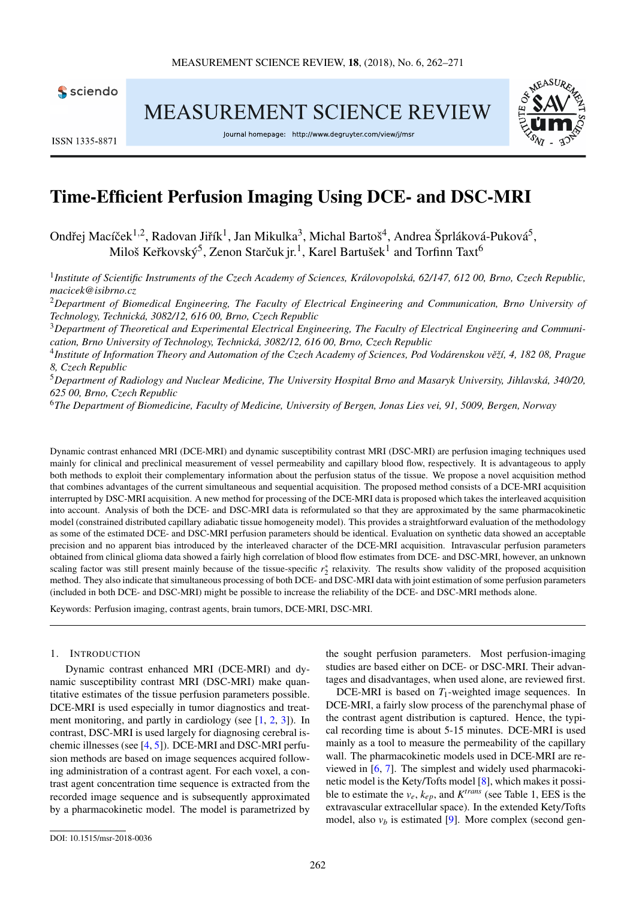

**MEASUREMENT SCIENCE REVIEW** 



ISSN 1335-8871

Journal homepage: http://www.degruyter.com/view/j/msr

# Time-Efficient Perfusion Imaging Using DCE- and DSC-MRI

Ondřej Macíček<sup>1,2</sup>, Radovan Jiřík<sup>1</sup>, Jan Mikulka<sup>3</sup>, Michal Bartoš<sup>4</sup>, Andrea Šprláková-Puková<sup>5</sup>, Miloš Keřkovský $^5$ , Zenon Starčuk jr. $^1$ , Karel Bartušek $^1$  and Torfinn Taxt $^6$ 

1 *Institute of Scientific Instruments of the Czech Academy of Sciences, Královopolská, 62/147, 612 00, Brno, Czech Republic, [macicek@isibrno.cz](mailto:macicek@isibrno.cz)*

<sup>2</sup>*Department of Biomedical Engineering, The Faculty of Electrical Engineering and Communication, Brno University of Technology, Technická, 3082/12, 616 00, Brno, Czech Republic*

<sup>3</sup>*Department of Theoretical and Experimental Electrical Engineering, The Faculty of Electrical Engineering and Communication, Brno University of Technology, Technická, 3082/12, 616 00, Brno, Czech Republic*

<sup>4</sup> Institute of Information Theory and Automation of the Czech Academy of Sciences, Pod Vodárenskou věží, 4, 182 08, Prague *8, Czech Republic*

<sup>5</sup>*Department of Radiology and Nuclear Medicine, The University Hospital Brno and Masaryk University, Jihlavská, 340/20, 625 00, Brno, Czech Republic*

<sup>6</sup>*The Department of Biomedicine, Faculty of Medicine, University of Bergen, Jonas Lies vei, 91, 5009, Bergen, Norway*

Dynamic contrast enhanced MRI (DCE-MRI) and dynamic susceptibility contrast MRI (DSC-MRI) are perfusion imaging techniques used mainly for clinical and preclinical measurement of vessel permeability and capillary blood flow, respectively. It is advantageous to apply both methods to exploit their complementary information about the perfusion status of the tissue. We propose a novel acquisition method that combines advantages of the current simultaneous and sequential acquisition. The proposed method consists of a DCE-MRI acquisition interrupted by DSC-MRI acquisition. A new method for processing of the DCE-MRI data is proposed which takes the interleaved acquisition into account. Analysis of both the DCE- and DSC-MRI data is reformulated so that they are approximated by the same pharmacokinetic model (constrained distributed capillary adiabatic tissue homogeneity model). This provides a straightforward evaluation of the methodology as some of the estimated DCE- and DSC-MRI perfusion parameters should be identical. Evaluation on synthetic data showed an acceptable precision and no apparent bias introduced by the interleaved character of the DCE-MRI acquisition. Intravascular perfusion parameters obtained from clinical glioma data showed a fairly high correlation of blood flow estimates from DCE- and DSC-MRI, however, an unknown scaling factor was still present mainly because of the tissue-specific  $r_2^*$  relaxivity. The results show validity of the proposed acquisition method. They also indicate that simultaneous processing of both DCE- and DSC-MRI data with joint estimation of some perfusion parameters (included in both DCE- and DSC-MRI) might be possible to increase the reliability of the DCE- and DSC-MRI methods alone.

Keywords: Perfusion imaging, contrast agents, brain tumors, DCE-MRI, DSC-MRI.

## 1. INTRODUCTION

Dynamic contrast enhanced MRI (DCE-MRI) and dynamic susceptibility contrast MRI (DSC-MRI) make quantitative estimates of the tissue perfusion parameters possible. DCE-MRI is used especially in tumor diagnostics and treatment monitoring, and partly in cardiology (see [\[1,](#page-8-0) [2,](#page-8-1) [3\]](#page-8-2)). In contrast, DSC-MRI is used largely for diagnosing cerebral ischemic illnesses (see [\[4,](#page-8-3) [5\]](#page-8-4)). DCE-MRI and DSC-MRI perfusion methods are based on image sequences acquired following administration of a contrast agent. For each voxel, a contrast agent concentration time sequence is extracted from the recorded image sequence and is subsequently approximated by a pharmacokinetic model. The model is parametrized by the sought perfusion parameters. Most perfusion-imaging studies are based either on DCE- or DSC-MRI. Their advantages and disadvantages, when used alone, are reviewed first.

DCE-MRI is based on  $T_1$ -weighted image sequences. In DCE-MRI, a fairly slow process of the parenchymal phase of the contrast agent distribution is captured. Hence, the typical recording time is about 5-15 minutes. DCE-MRI is used mainly as a tool to measure the permeability of the capillary wall. The pharmacokinetic models used in DCE-MRI are reviewed in [\[6,](#page-8-5) [7\]](#page-8-6). The simplest and widely used pharmacokinetic model is the Kety/Tofts model [\[8\]](#page-8-7), which makes it possible to estimate the  $v_e$ ,  $k_{ep}$ , and  $K^{trans}$  (see Table [1,](#page-3-0) EES is the extravascular extracellular space). In the extended Kety/Tofts model, also  $v_b$  is estimated [\[9\]](#page-8-8). More complex (second gen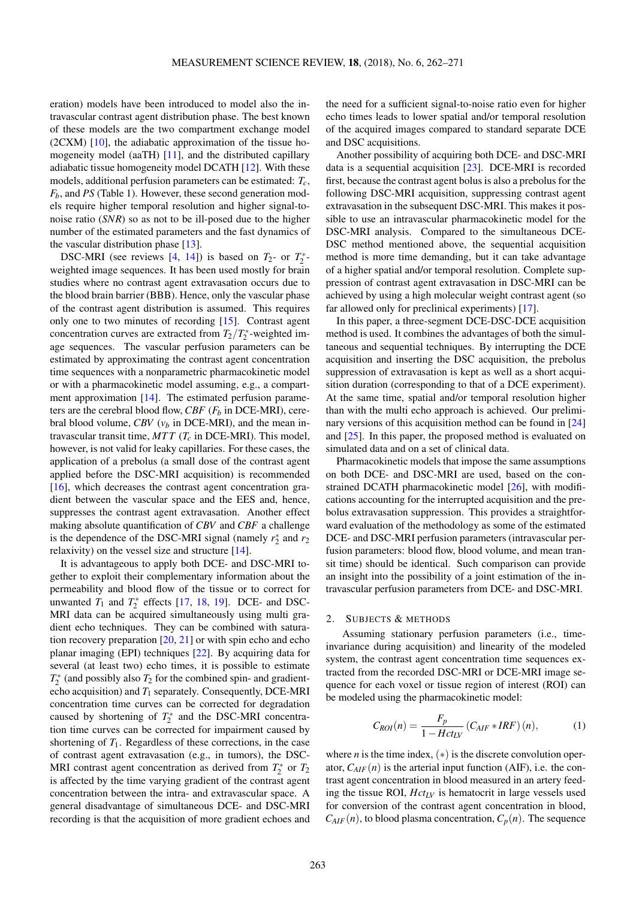eration) models have been introduced to model also the intravascular contrast agent distribution phase. The best known of these models are the two compartment exchange model (2CXM) [\[10\]](#page-8-9), the adiabatic approximation of the tissue homogeneity model (aaTH) [\[11\]](#page-8-10), and the distributed capillary adiabatic tissue homogeneity model DCATH [\[12\]](#page-8-11). With these models, additional perfusion parameters can be estimated: *Tc*, *Fb*, and *PS* (Table [1\)](#page-3-0). However, these second generation models require higher temporal resolution and higher signal-tonoise ratio (*SNR*) so as not to be ill-posed due to the higher number of the estimated parameters and the fast dynamics of the vascular distribution phase [\[13\]](#page-8-12).

DSC-MRI (see reviews  $[4, 14]$  $[4, 14]$  $[4, 14]$ ) is based on  $T_2$ - or  $T_2^*$ weighted image sequences. It has been used mostly for brain studies where no contrast agent extravasation occurs due to the blood brain barrier (BBB). Hence, only the vascular phase of the contrast agent distribution is assumed. This requires only one to two minutes of recording [\[15\]](#page-8-14). Contrast agent concentration curves are extracted from  $T_2/T_2^*$ -weighted image sequences. The vascular perfusion parameters can be estimated by approximating the contrast agent concentration time sequences with a nonparametric pharmacokinetic model or with a pharmacokinetic model assuming, e.g., a compart-ment approximation [\[14\]](#page-8-13). The estimated perfusion parameters are the cerebral blood flow, *CBF*  $(F_b$  in DCE-MRI), cerebral blood volume, *CBV* (*v<sup>b</sup>* in DCE-MRI), and the mean intravascular transit time, *MT T* (*T<sup>c</sup>* in DCE-MRI). This model, however, is not valid for leaky capillaries. For these cases, the application of a prebolus (a small dose of the contrast agent applied before the DSC-MRI acquisition) is recommended [\[16\]](#page-8-15), which decreases the contrast agent concentration gradient between the vascular space and the EES and, hence, suppresses the contrast agent extravasation. Another effect making absolute quantification of *CBV* and *CBF* a challenge is the dependence of the DSC-MRI signal (namely  $r_2^*$  and  $r_2$ ) relaxivity) on the vessel size and structure  $[14]$ .

It is advantageous to apply both DCE- and DSC-MRI together to exploit their complementary information about the permeability and blood flow of the tissue or to correct for unwanted  $T_1$  and  $T_2^*$  effects [\[17,](#page-8-16) [18,](#page-8-17) [19\]](#page-8-18). DCE- and DSC-MRI data can be acquired simultaneously using multi gradient echo techniques. They can be combined with saturation recovery preparation  $[20, 21]$  $[20, 21]$  $[20, 21]$  or with spin echo and echo planar imaging (EPI) techniques [\[22\]](#page-8-21). By acquiring data for several (at least two) echo times, it is possible to estimate  $T_2^*$  (and possibly also  $T_2$  for the combined spin- and gradientecho acquisition) and *T*<sup>1</sup> separately. Consequently, DCE-MRI concentration time curves can be corrected for degradation caused by shortening of  $T_2^*$  and the DSC-MRI concentration time curves can be corrected for impairment caused by shortening of  $T_1$ . Regardless of these corrections, in the case of contrast agent extravasation (e.g., in tumors), the DSC-MRI contrast agent concentration as derived from  $T_2^*$  or  $T_2$ is affected by the time varying gradient of the contrast agent concentration between the intra- and extravascular space. A general disadvantage of simultaneous DCE- and DSC-MRI recording is that the acquisition of more gradient echoes and

the need for a sufficient signal-to-noise ratio even for higher echo times leads to lower spatial and/or temporal resolution of the acquired images compared to standard separate DCE and DSC acquisitions.

Another possibility of acquiring both DCE- and DSC-MRI data is a sequential acquisition [\[23\]](#page-8-22). DCE-MRI is recorded first, because the contrast agent bolus is also a prebolus for the following DSC-MRI acquisition, suppressing contrast agent extravasation in the subsequent DSC-MRI. This makes it possible to use an intravascular pharmacokinetic model for the DSC-MRI analysis. Compared to the simultaneous DCE-DSC method mentioned above, the sequential acquisition method is more time demanding, but it can take advantage of a higher spatial and/or temporal resolution. Complete suppression of contrast agent extravasation in DSC-MRI can be achieved by using a high molecular weight contrast agent (so far allowed only for preclinical experiments) [\[17\]](#page-8-16).

In this paper, a three-segment DCE-DSC-DCE acquisition method is used. It combines the advantages of both the simultaneous and sequential techniques. By interrupting the DCE acquisition and inserting the DSC acquisition, the prebolus suppression of extravasation is kept as well as a short acquisition duration (corresponding to that of a DCE experiment). At the same time, spatial and/or temporal resolution higher than with the multi echo approach is achieved. Our prelimi-nary versions of this acquisition method can be found in [\[24\]](#page-9-0) and [\[25\]](#page-9-1). In this paper, the proposed method is evaluated on simulated data and on a set of clinical data.

Pharmacokinetic models that impose the same assumptions on both DCE- and DSC-MRI are used, based on the constrained DCATH pharmacokinetic model [\[26\]](#page-9-2), with modifications accounting for the interrupted acquisition and the prebolus extravasation suppression. This provides a straightforward evaluation of the methodology as some of the estimated DCE- and DSC-MRI perfusion parameters (intravascular perfusion parameters: blood flow, blood volume, and mean transit time) should be identical. Such comparison can provide an insight into the possibility of a joint estimation of the intravascular perfusion parameters from DCE- and DSC-MRI.

#### 2. SUBJECTS & METHODS

Assuming stationary perfusion parameters (i.e., timeinvariance during acquisition) and linearity of the modeled system, the contrast agent concentration time sequences extracted from the recorded DSC-MRI or DCE-MRI image sequence for each voxel or tissue region of interest (ROI) can be modeled using the pharmacokinetic model:

<span id="page-1-0"></span>
$$
C_{ROI}(n) = \frac{F_p}{1 - Hct_{LV}} \left( C_{AIF} * IRF \right)(n), \tag{1}
$$

where *n* is the time index,  $(*)$  is the discrete convolution operator,  $C_{AIF}(n)$  is the arterial input function (AIF), i.e. the contrast agent concentration in blood measured in an artery feeding the tissue ROI, *HctLV* is hematocrit in large vessels used for conversion of the contrast agent concentration in blood,  $C_{AIF}(n)$ , to blood plasma concentration,  $C_p(n)$ . The sequence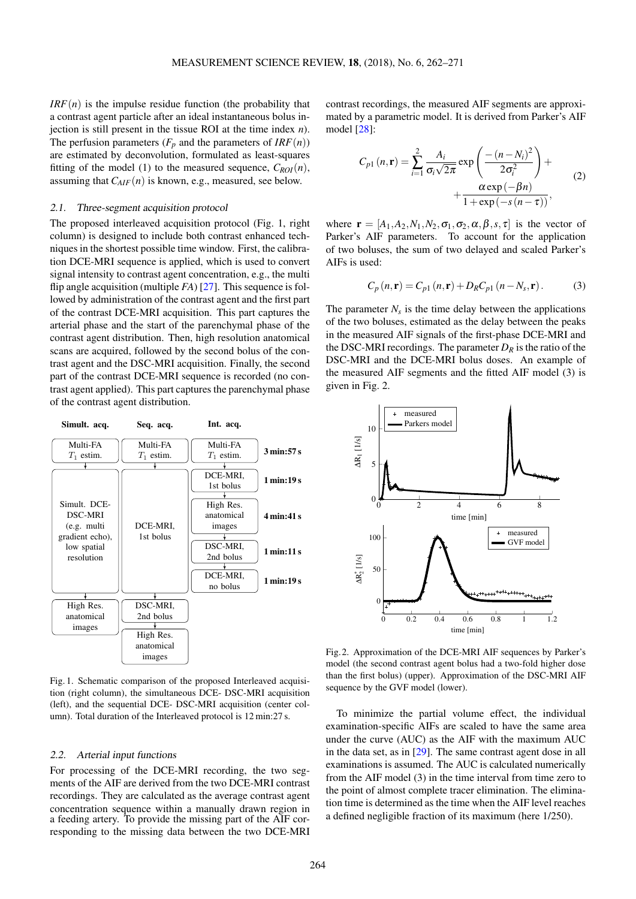$IRF(n)$  is the impulse residue function (the probability that a contrast agent particle after an ideal instantaneous bolus injection is still present in the tissue ROI at the time index *n*). The perfusion parameters ( $F_p$  and the parameters of  $IRF(n)$ ) are estimated by deconvolution, formulated as least-squares fitting of the model [\(1\)](#page-1-0) to the measured sequence,  $C_{ROI}(n)$ , assuming that *CAIF*(*n*) is known, e.g., measured, see below.

## 2.1. Three-segment acquisition protocol

The proposed interleaved acquisition protocol (Fig. [1,](#page-2-0) right column) is designed to include both contrast enhanced techniques in the shortest possible time window. First, the calibration DCE-MRI sequence is applied, which is used to convert signal intensity to contrast agent concentration, e.g., the multi flip angle acquisition (multiple *FA*) [\[27\]](#page-9-3). This sequence is followed by administration of the contrast agent and the first part of the contrast DCE-MRI acquisition. This part captures the arterial phase and the start of the parenchymal phase of the contrast agent distribution. Then, high resolution anatomical scans are acquired, followed by the second bolus of the contrast agent and the DSC-MRI acquisition. Finally, the second part of the contrast DCE-MRI sequence is recorded (no contrast agent applied). This part captures the parenchymal phase of the contrast agent distribution.

<span id="page-2-0"></span>

Fig. 1. Schematic comparison of the proposed Interleaved acquisition (right column), the simultaneous DCE- DSC-MRI acquisition (left), and the sequential DCE- DSC-MRI acquisition (center column). Total duration of the Interleaved protocol is 12 min:27 s.

#### 2.2. Arterial input functions

For processing of the DCE-MRI recording, the two segments of the AIF are derived from the two DCE-MRI contrast recordings. They are calculated as the average contrast agent concentration sequence within a manually drawn region in a feeding artery. To provide the missing part of the AIF corresponding to the missing data between the two DCE-MRI contrast recordings, the measured AIF segments are approximated by a parametric model. It is derived from Parker's AIF model [\[28\]](#page-9-4):

$$
C_{p1}(n, \mathbf{r}) = \sum_{i=1}^{2} \frac{A_i}{\sigma_i \sqrt{2\pi}} \exp\left(\frac{-(n-N_i)^2}{2\sigma_i^2}\right) + \frac{\alpha \exp(-\beta n)}{1 + \exp(-s(n-\tau))},
$$
(2)

where  $\mathbf{r} = [A_1, A_2, N_1, N_2, \sigma_1, \sigma_2, \alpha, \beta, s, \tau]$  is the vector of Parker's AIF parameters. To account for the application of two boluses, the sum of two delayed and scaled Parker's AIFs is used:

<span id="page-2-1"></span>
$$
C_p(n,\mathbf{r}) = C_{p1}(n,\mathbf{r}) + D_R C_{p1}(n - N_s, \mathbf{r}).
$$
 (3)

The parameter  $N_s$  is the time delay between the applications of the two boluses, estimated as the delay between the peaks in the measured AIF signals of the first-phase DCE-MRI and the DSC-MRI recordings. The parameter  $D_R$  is the ratio of the DSC-MRI and the DCE-MRI bolus doses. An example of the measured AIF segments and the fitted AIF model [\(3\)](#page-2-1) is given in Fig. [2.](#page-2-2)

<span id="page-2-2"></span>

Fig.2. Approximation of the DCE-MRI AIF sequences by Parker's model (the second contrast agent bolus had a two-fold higher dose than the first bolus) (upper). Approximation of the DSC-MRI AIF sequence by the GVF model (lower).

To minimize the partial volume effect, the individual examination-specific AIFs are scaled to have the same area under the curve (AUC) as the AIF with the maximum AUC in the data set, as in  $[29]$ . The same contrast agent dose in all examinations is assumed. The AUC is calculated numerically from the AIF model [\(3\)](#page-2-1) in the time interval from time zero to the point of almost complete tracer elimination. The elimination time is determined as the time when the AIF level reaches a defined negligible fraction of its maximum (here 1/250).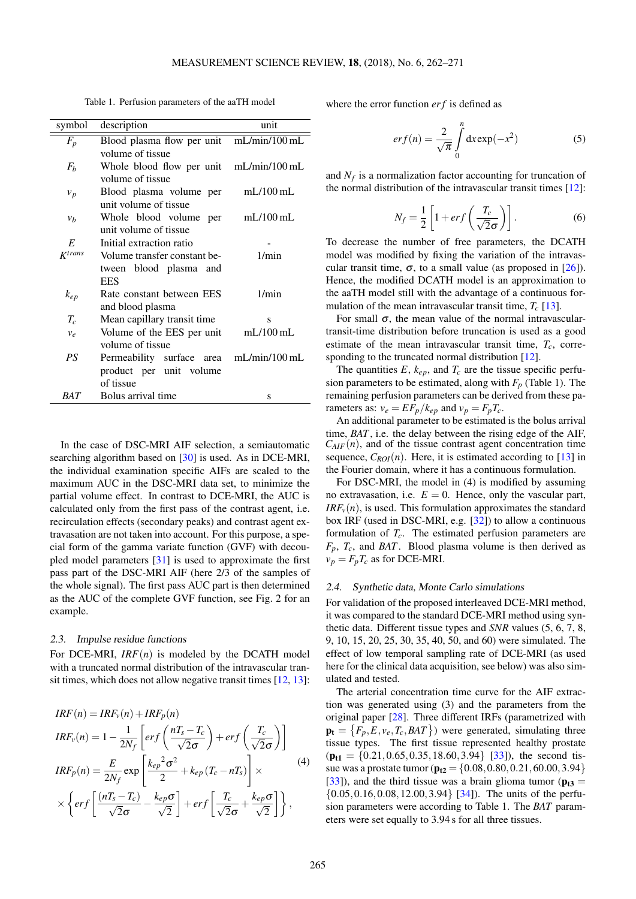Table 1. Perfusion parameters of the aaTH model

<span id="page-3-0"></span>

| symbol         | description                             | unit              |
|----------------|-----------------------------------------|-------------------|
| $F_p$          | Blood plasma flow per unit              | $mL/min/100$ $mL$ |
|                | volume of tissue                        |                   |
| $F_b$          | Whole blood flow per unit mL/min/100 mL |                   |
|                | volume of tissue                        |                   |
| $v_p$          | Blood plasma volume per                 | $mL/100$ mL       |
|                | unit volume of tissue                   |                   |
| $v_b$          | Whole blood volume per                  | $mL/100$ mL       |
|                | unit volume of tissue                   |                   |
| $\overline{E}$ | Initial extraction ratio                |                   |
| $K^{trans}$    | Volume transfer constant be-            | 1/min             |
|                | tween blood plasma and                  |                   |
|                | <b>EES</b>                              |                   |
| $k_{ep}$       | Rate constant between EES               | 1/min             |
|                | and blood plasma                        |                   |
| $T_c$          | Mean capillary transit time             | S                 |
| $v_e$          | Volume of the EES per unit              | $mL/100$ mL       |
|                | volume of tissue                        |                   |
| PS             | Permeability surface area mL/min/100 mL |                   |
|                | product per unit volume                 |                   |
|                | of tissue                               |                   |
| <i>BAT</i>     | Bolus arrival time                      | S                 |

In the case of DSC-MRI AIF selection, a semiautomatic searching algorithm based on [\[30\]](#page-9-6) is used. As in DCE-MRI, the individual examination specific AIFs are scaled to the maximum AUC in the DSC-MRI data set, to minimize the partial volume effect. In contrast to DCE-MRI, the AUC is calculated only from the first pass of the contrast agent, i.e. recirculation effects (secondary peaks) and contrast agent extravasation are not taken into account. For this purpose, a special form of the gamma variate function (GVF) with decoupled model parameters [\[31\]](#page-9-7) is used to approximate the first pass part of the DSC-MRI AIF (here 2/3 of the samples of the whole signal). The first pass AUC part is then determined as the AUC of the complete GVF function, see Fig. [2](#page-2-2) for an example.

#### 2.3. Impulse residue functions

For DCE-MRI,  $IRF(n)$  is modeled by the DCATH model with a truncated normal distribution of the intravascular transit times, which does not allow negative transit times [\[12,](#page-8-11) [13\]](#page-8-12):

<span id="page-3-1"></span>
$$
IRF(n) = IRF_v(n) + IRF_p(n)
$$
  
\n
$$
IRF_v(n) = 1 - \frac{1}{2N_f} \left[ erf\left(\frac{nT_s - T_c}{\sqrt{2}\sigma}\right) + erf\left(\frac{T_c}{\sqrt{2}\sigma}\right) \right]
$$
  
\n
$$
IRF_p(n) = \frac{E}{2N_f} \exp\left[\frac{k_{ep}^2 \sigma^2}{2} + k_{ep} (T_c - nT_s)\right] \times
$$
  
\n
$$
\times \left\{ erf\left[\frac{(nT_s - T_c)}{\sqrt{2}\sigma} - \frac{k_{ep}\sigma}{\sqrt{2}}\right] + erf\left[\frac{T_c}{\sqrt{2}\sigma} + \frac{k_{ep}\sigma}{\sqrt{2}}\right] \right\},
$$
\n(4)

where the error function *er f* is defined as

$$
erf(n) = \frac{2}{\sqrt{\pi}} \int_{0}^{n} dx \exp(-x^{2})
$$
 (5)

and  $N_f$  is a normalization factor accounting for truncation of the normal distribution of the intravascular transit times [\[12\]](#page-8-11):

$$
N_f = \frac{1}{2} \left[ 1 + erf\left(\frac{T_c}{\sqrt{2}\sigma}\right) \right].
$$
 (6)

To decrease the number of free parameters, the DCATH model was modified by fixing the variation of the intravascular transit time,  $\sigma$ , to a small value (as proposed in [\[26\]](#page-9-2)). Hence, the modified DCATH model is an approximation to the aaTH model still with the advantage of a continuous formulation of the mean intravascular transit time,  $T_c$  [\[13\]](#page-8-12).

For small  $\sigma$ , the mean value of the normal intravasculartransit-time distribution before truncation is used as a good estimate of the mean intravascular transit time,  $T_c$ , corre-sponding to the truncated normal distribution [\[12\]](#page-8-11).

The quantities  $E$ ,  $k_{ep}$ , and  $T_c$  are the tissue specific perfusion parameters to be estimated, along with  $F_p$  (Table [1\)](#page-3-0). The remaining perfusion parameters can be derived from these parameters as:  $v_e = EF_p/k_{ep}$  and  $v_p = F_pT_c$ .

An additional parameter to be estimated is the bolus arrival time, *BAT*, i.e. the delay between the rising edge of the AIF,  $C_{AIF}(n)$ , and of the tissue contrast agent concentration time sequence,  $C_{ROI}(n)$ . Here, it is estimated according to [\[13\]](#page-8-12) in the Fourier domain, where it has a continuous formulation.

For DSC-MRI, the model in [\(4\)](#page-3-1) is modified by assuming no extravasation, i.e.  $E = 0$ . Hence, only the vascular part,  $IRF<sub>v</sub>(n)$ , is used. This formulation approximates the standard box IRF (used in DSC-MRI, e.g. [\[32\]](#page-9-8)) to allow a continuous formulation of *Tc*. The estimated perfusion parameters are *Fp*, *Tc*, and *BAT*. Blood plasma volume is then derived as  $v_p = F_p T_c$  as for DCE-MRI.

### 2.4. Synthetic data, Monte Carlo simulations

For validation of the proposed interleaved DCE-MRI method, it was compared to the standard DCE-MRI method using synthetic data. Different tissue types and *SNR* values (5, 6, 7, 8, 9, 10, 15, 20, 25, 30, 35, 40, 50, and 60) were simulated. The effect of low temporal sampling rate of DCE-MRI (as used here for the clinical data acquisition, see below) was also simulated and tested.

The arterial concentration time curve for the AIF extraction was generated using [\(3\)](#page-2-1) and the parameters from the original paper [\[28\]](#page-9-4). Three different IRFs (parametrized with  $\mathbf{p_t} = \{F_p, E, v_e, T_c, BAT\}$  were generated, simulating three tissue types. The first tissue represented healthy prostate  $(p_{t1} = \{0.21, 0.65, 0.35, 18.60, 3.94\}$  [\[33\]](#page-9-9)), the second tissue was a prostate tumor ( $\mathbf{p_{t2}} = \{0.08, 0.80, 0.21, 60.00, 3.94\}$ [\[33\]](#page-9-9)), and the third tissue was a brain glioma tumor ( $p_{t3}$  =  $\{0.05, 0.16, 0.08, 12.00, 3.94\}$  [\[34\]](#page-9-10)). The units of the perfusion parameters were according to Table [1.](#page-3-0) The *BAT* parameters were set equally to 3.94 s for all three tissues.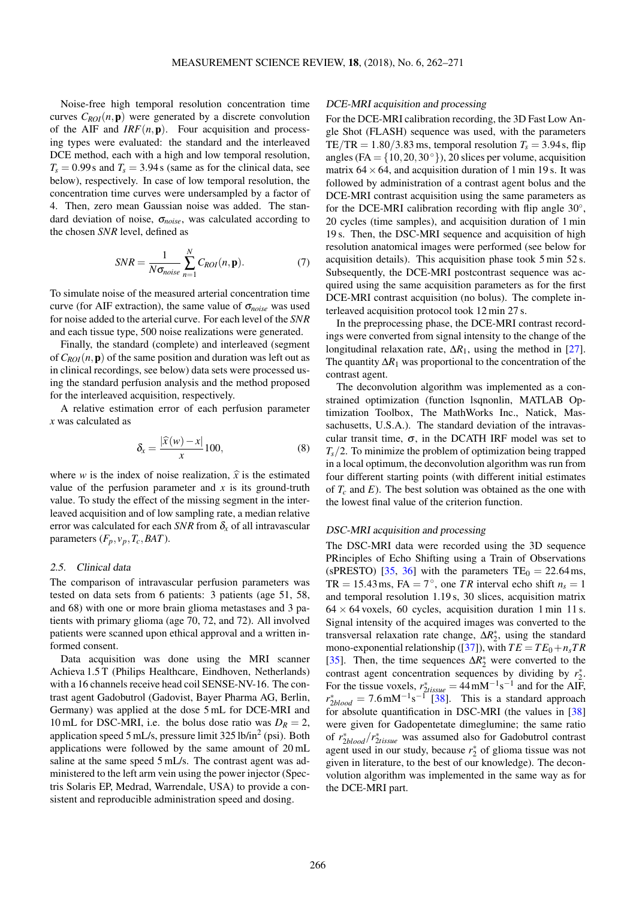Noise-free high temporal resolution concentration time curves  $C_{ROI}(n, \mathbf{p})$  were generated by a discrete convolution of the AIF and *IRF*(*n*,p). Four acquisition and processing types were evaluated: the standard and the interleaved DCE method, each with a high and low temporal resolution,  $T_s = 0.99$  s and  $T_s = 3.94$  s (same as for the clinical data, see below), respectively. In case of low temporal resolution, the concentration time curves were undersampled by a factor of 4. Then, zero mean Gaussian noise was added. The standard deviation of noise, σ*noise*, was calculated according to the chosen *SNR* level, defined as

<span id="page-4-0"></span>
$$
SNR = \frac{1}{N\sigma_{noise}} \sum_{n=1}^{N} C_{ROI}(n, \mathbf{p}).
$$
 (7)

To simulate noise of the measured arterial concentration time curve (for AIF extraction), the same value of σ*noise* was used for noise added to the arterial curve. For each level of the *SNR* and each tissue type, 500 noise realizations were generated.

Finally, the standard (complete) and interleaved (segment of  $C_{ROI}(n, \mathbf{p})$  of the same position and duration was left out as in clinical recordings, see below) data sets were processed using the standard perfusion analysis and the method proposed for the interleaved acquisition, respectively.

A relative estimation error of each perfusion parameter *x* was calculated as

$$
\delta_x = \frac{|\widehat{x}(w) - x|}{x} 100,\tag{8}
$$

where *w* is the index of noise realization,  $\hat{x}$  is the estimated value of the perfusion parameter and  $x$  is its ground-truth value. To study the effect of the missing segment in the interleaved acquisition and of low sampling rate, a median relative error was calculated for each *SNR* from  $\delta_{r}$  of all intravascular parameters  $(F_p, v_p, T_c, BAT)$ .

#### 2.5. Clinical data

The comparison of intravascular perfusion parameters was tested on data sets from 6 patients: 3 patients (age 51, 58, and 68) with one or more brain glioma metastases and 3 patients with primary glioma (age 70, 72, and 72). All involved patients were scanned upon ethical approval and a written informed consent.

Data acquisition was done using the MRI scanner Achieva 1.5 T (Philips Healthcare, Eindhoven, Netherlands) with a 16 channels receive head coil SENSE-NV-16. The contrast agent Gadobutrol (Gadovist, Bayer Pharma AG, Berlin, Germany) was applied at the dose 5 mL for DCE-MRI and 10 mL for DSC-MRI, i.e. the bolus dose ratio was  $D_R = 2$ , application speed 5 mL/s, pressure limit 325 lb/in<sup>2</sup> (psi). Both applications were followed by the same amount of 20 mL saline at the same speed 5 mL/s. The contrast agent was administered to the left arm vein using the power injector (Spectris Solaris EP, Medrad, Warrendale, USA) to provide a consistent and reproducible administration speed and dosing.

### DCE-MRI acquisition and processing

For the DCE-MRI calibration recording, the 3D Fast Low Angle Shot (FLASH) sequence was used, with the parameters TE/TR =  $1.80/3.83$  ms, temporal resolution  $T_s = 3.94$  s, flip angles (FA =  $\{10,20,30°\}$ ), 20 slices per volume, acquisition matrix  $64 \times 64$ , and acquisition duration of 1 min 19 s. It was followed by administration of a contrast agent bolus and the DCE-MRI contrast acquisition using the same parameters as for the DCE-MRI calibration recording with flip angle 30°, 20 cycles (time samples), and acquisition duration of 1 min 19 s. Then, the DSC-MRI sequence and acquisition of high resolution anatomical images were performed (see below for acquisition details). This acquisition phase took 5 min 52 s. Subsequently, the DCE-MRI postcontrast sequence was acquired using the same acquisition parameters as for the first DCE-MRI contrast acquisition (no bolus). The complete interleaved acquisition protocol took 12 min 27 s.

In the preprocessing phase, the DCE-MRI contrast recordings were converted from signal intensity to the change of the longitudinal relaxation rate, ∆*R*1, using the method in [\[27\]](#page-9-3). The quantity  $\Delta R_1$  was proportional to the concentration of the contrast agent.

The deconvolution algorithm was implemented as a constrained optimization (function lsqnonlin, MATLAB Optimization Toolbox, The MathWorks Inc., Natick, Massachusetts, U.S.A.). The standard deviation of the intravascular transit time,  $\sigma$ , in the DCATH IRF model was set to  $T_s/2$ . To minimize the problem of optimization being trapped in a local optimum, the deconvolution algorithm was run from four different starting points (with different initial estimates of  $T_c$  and  $E$ ). The best solution was obtained as the one with the lowest final value of the criterion function.

#### DSC-MRI acquisition and processing

The DSC-MRI data were recorded using the 3D sequence PRinciples of Echo Shifting using a Train of Observations (sPRESTO) [\[35,](#page-9-11) [36\]](#page-9-12) with the parameters  $TE_0 = 22.64$  ms, TR = 15.43 ms, FA =  $7^{\circ}$ , one TR interval echo shift  $n_s = 1$ and temporal resolution 1.19 s, 30 slices, acquisition matrix  $64 \times 64$  voxels, 60 cycles, acquisition duration 1 min 11 s. Signal intensity of the acquired images was converted to the transversal relaxation rate change,  $\Delta R_2^*$ , using the standard mono-exponential relationship ([\[37\]](#page-9-13)), with  $TE = TE_0 + n_s TR$ [\[35\]](#page-9-11). Then, the time sequences  $\Delta R_2^*$  were converted to the contrast agent concentration sequences by dividing by  $r_2^*$ . For the tissue voxels,  $r_{2tissue}^* = 44 \text{ mM}^{-1} \text{s}^{-1}$  and for the AIF,  $r_{2blood}^* = 7.6 \text{ mM}^{-1} \text{s}^{-1}$  [\[38\]](#page-9-14). This is a standard approach for absolute quantification in DSC-MRI (the values in [\[38\]](#page-9-14) were given for Gadopentetate dimeglumine; the same ratio of *r* ∗ <sup>2</sup>*blood*/*r* ∗ <sup>2</sup>*tissue* was assumed also for Gadobutrol contrast agent used in our study, because  $r_2^*$  of glioma tissue was not given in literature, to the best of our knowledge). The deconvolution algorithm was implemented in the same way as for the DCE-MRI part.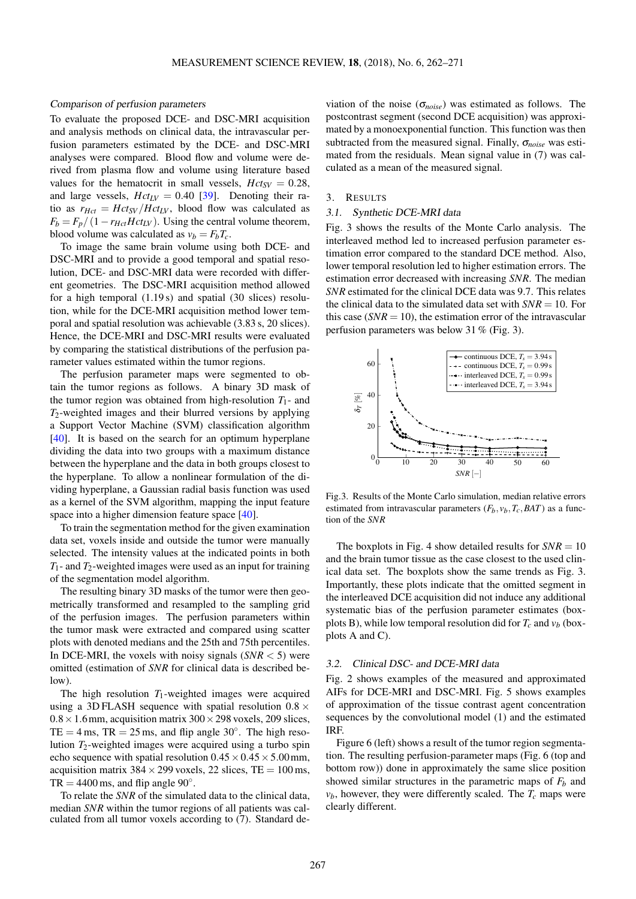#### Comparison of perfusion parameters

To evaluate the proposed DCE- and DSC-MRI acquisition and analysis methods on clinical data, the intravascular perfusion parameters estimated by the DCE- and DSC-MRI analyses were compared. Blood flow and volume were derived from plasma flow and volume using literature based values for the hematocrit in small vessels,  $Hct_{SV} = 0.28$ , and large vessels,  $Hct_{LV} = 0.40$  [\[39\]](#page-9-15). Denoting their ratio as  $r_{Hct} = Hct_{SV}/Hct_{LV}$ , blood flow was calculated as  $F_b = F_p/(1 - r_{Hct} Hct_{LV})$ . Using the central volume theorem, blood volume was calculated as  $v_b = F_bT_c$ .

To image the same brain volume using both DCE- and DSC-MRI and to provide a good temporal and spatial resolution, DCE- and DSC-MRI data were recorded with different geometries. The DSC-MRI acquisition method allowed for a high temporal (1.19 s) and spatial (30 slices) resolution, while for the DCE-MRI acquisition method lower temporal and spatial resolution was achievable (3.83 s, 20 slices). Hence, the DCE-MRI and DSC-MRI results were evaluated by comparing the statistical distributions of the perfusion parameter values estimated within the tumor regions.

The perfusion parameter maps were segmented to obtain the tumor regions as follows. A binary 3D mask of the tumor region was obtained from high-resolution  $T_1$ - and *T*2-weighted images and their blurred versions by applying a Support Vector Machine (SVM) classification algorithm [\[40\]](#page-9-16). It is based on the search for an optimum hyperplane dividing the data into two groups with a maximum distance between the hyperplane and the data in both groups closest to the hyperplane. To allow a nonlinear formulation of the dividing hyperplane, a Gaussian radial basis function was used as a kernel of the SVM algorithm, mapping the input feature space into a higher dimension feature space [\[40\]](#page-9-16).

To train the segmentation method for the given examination data set, voxels inside and outside the tumor were manually selected. The intensity values at the indicated points in both  $T_1$ - and  $T_2$ -weighted images were used as an input for training of the segmentation model algorithm.

The resulting binary 3D masks of the tumor were then geometrically transformed and resampled to the sampling grid of the perfusion images. The perfusion parameters within the tumor mask were extracted and compared using scatter plots with denoted medians and the 25th and 75th percentiles. In DCE-MRI, the voxels with noisy signals  $(NR < 5)$  were omitted (estimation of *SNR* for clinical data is described below).

The high resolution  $T_1$ -weighted images were acquired using a 3D FLASH sequence with spatial resolution  $0.8 \times$  $0.8 \times 1.6$  mm, acquisition matrix  $300 \times 298$  voxels, 209 slices, TE = 4 ms, TR =  $25 \text{ ms}$ , and flip angle  $30^\circ$ . The high resolution  $T_2$ -weighted images were acquired using a turbo spin echo sequence with spatial resolution  $0.45 \times 0.45 \times 5.00$  mm, acquisition matrix  $384 \times 299$  voxels,  $22$  slices, TE = 100 ms, TR =  $4400 \text{ ms}$ , and flip angle  $90^\circ$ .

To relate the *SNR* of the simulated data to the clinical data, median *SNR* within the tumor regions of all patients was calculated from all tumor voxels according to [\(7\)](#page-4-0). Standard deviation of the noise ( $\sigma_{noise}$ ) was estimated as follows. The postcontrast segment (second DCE acquisition) was approximated by a monoexponential function. This function was then subtracted from the measured signal. Finally, σ*noise* was estimated from the residuals. Mean signal value in [\(7\)](#page-4-0) was calculated as a mean of the measured signal.

#### 3. RESULTS

#### 3.1. Synthetic DCE-MRI data

Fig. [3](#page-5-0) shows the results of the Monte Carlo analysis. The interleaved method led to increased perfusion parameter estimation error compared to the standard DCE method. Also, lower temporal resolution led to higher estimation errors. The estimation error decreased with increasing *SNR*. The median *SNR* estimated for the clinical DCE data was 9.7. This relates the clinical data to the simulated data set with  $SNR = 10$ . For this case  $(SNR = 10)$ , the estimation error of the intravascular perfusion parameters was below 31 % (Fig. [3\)](#page-5-0).

<span id="page-5-0"></span>

Fig.3. Results of the Monte Carlo simulation, median relative errors estimated from intravascular parameters  $(F_b, v_b, T_c, BAT)$  as a function of the *SNR*

The boxplots in Fig. [4](#page-6-0) show detailed results for  $SNR = 10$ and the brain tumor tissue as the case closest to the used clinical data set. The boxplots show the same trends as Fig. [3.](#page-5-0) Importantly, these plots indicate that the omitted segment in the interleaved DCE acquisition did not induce any additional systematic bias of the perfusion parameter estimates (boxplots B), while low temporal resolution did for  $T_c$  and  $v_b$  (boxplots A and C).

#### 3.2. Clinical DSC- and DCE-MRI data

Fig. [2](#page-2-2) shows examples of the measured and approximated AIFs for DCE-MRI and DSC-MRI. Fig. [5](#page-6-1) shows examples of approximation of the tissue contrast agent concentration sequences by the convolutional model [\(1\)](#page-1-0) and the estimated IRF.

Figure [6](#page-6-2) (left) shows a result of the tumor region segmentation. The resulting perfusion-parameter maps (Fig. [6](#page-6-2) (top and bottom row)) done in approximately the same slice position showed similar structures in the parametric maps of  $F_b$  and  $v<sub>b</sub>$ , however, they were differently scaled. The  $T<sub>c</sub>$  maps were clearly different.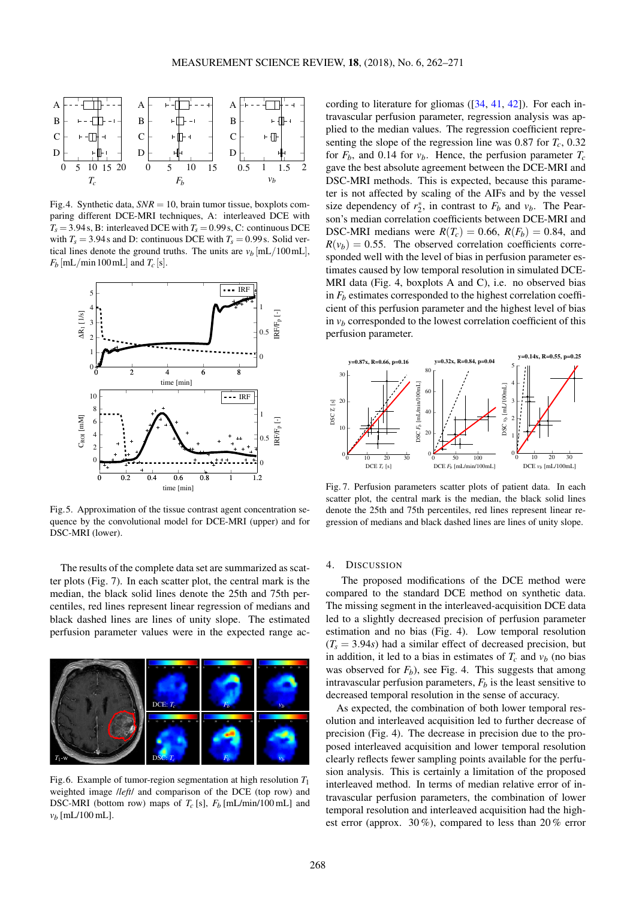<span id="page-6-0"></span>

Fig.4. Synthetic data,  $SNR = 10$ , brain tumor tissue, boxplots comparing different DCE-MRI techniques, A: interleaved DCE with  $T_s = 3.94$  s, B: interleaved DCE with  $T_s = 0.99$  s, C: continuous DCE with  $T_s = 3.94$  s and D: continuous DCE with  $T_s = 0.99$  s. Solid vertical lines denote the ground truths. The units are  $v_b$  [mL/100 mL],  $F_b$  [mL/min 100 mL] and  $T_c$  [s].

<span id="page-6-1"></span>

Fig.5. Approximation of the tissue contrast agent concentration sequence by the convolutional model for DCE-MRI (upper) and for DSC-MRI (lower).

The results of the complete data set are summarized as scatter plots (Fig. [7\)](#page-6-3). In each scatter plot, the central mark is the median, the black solid lines denote the 25th and 75th percentiles, red lines represent linear regression of medians and black dashed lines are lines of unity slope. The estimated perfusion parameter values were in the expected range ac-

<span id="page-6-2"></span>

Fig.6. Example of tumor-region segmentation at high resolution *T*<sup>1</sup> weighted image /*left*/ and comparison of the DCE (top row) and DSC-MRI (bottom row) maps of  $T_c$  [s],  $F_b$  [mL/min/100 mL] and  $v<sub>b</sub>$  [mL/100 mL].

cording to literature for gliomas ([\[34,](#page-9-10) [41,](#page-9-17) [42\]](#page-9-18)). For each intravascular perfusion parameter, regression analysis was applied to the median values. The regression coefficient representing the slope of the regression line was 0.87 for  $T_c$ , 0.32 for  $F_b$ , and 0.14 for  $v_b$ . Hence, the perfusion parameter  $T_c$ gave the best absolute agreement between the DCE-MRI and DSC-MRI methods. This is expected, because this parameter is not affected by scaling of the AIFs and by the vessel size dependency of  $r_2^*$ , in contrast to  $F_b$  and  $v_b$ . The Pearson's median correlation coefficients between DCE-MRI and DSC-MRI medians were  $R(T_c) = 0.66$ ,  $R(F_b) = 0.84$ , and  $R(v_b) = 0.55$ . The observed correlation coefficients corresponded well with the level of bias in perfusion parameter estimates caused by low temporal resolution in simulated DCE-MRI data (Fig. [4,](#page-6-0) boxplots A and C), i.e. no observed bias in  $F_b$  estimates corresponded to the highest correlation coefficient of this perfusion parameter and the highest level of bias in  $v_b$  corresponded to the lowest correlation coefficient of this perfusion parameter.

<span id="page-6-3"></span>

Fig. 7. Perfusion parameters scatter plots of patient data. In each scatter plot, the central mark is the median, the black solid lines denote the 25th and 75th percentiles, red lines represent linear regression of medians and black dashed lines are lines of unity slope.

## 4. DISCUSSION

The proposed modifications of the DCE method were compared to the standard DCE method on synthetic data. The missing segment in the interleaved-acquisition DCE data led to a slightly decreased precision of perfusion parameter estimation and no bias (Fig. [4\)](#page-6-0). Low temporal resolution  $(T_s = 3.94s)$  had a similar effect of decreased precision, but in addition, it led to a bias in estimates of  $T_c$  and  $v_b$  (no bias was observed for  $F_b$ ), see Fig. [4.](#page-6-0) This suggests that among intravascular perfusion parameters,  $F_b$  is the least sensitive to decreased temporal resolution in the sense of accuracy.

As expected, the combination of both lower temporal resolution and interleaved acquisition led to further decrease of precision (Fig. [4\)](#page-6-0). The decrease in precision due to the proposed interleaved acquisition and lower temporal resolution clearly reflects fewer sampling points available for the perfusion analysis. This is certainly a limitation of the proposed interleaved method. In terms of median relative error of intravascular perfusion parameters, the combination of lower temporal resolution and interleaved acquisition had the highest error (approx. 30 %), compared to less than 20 % error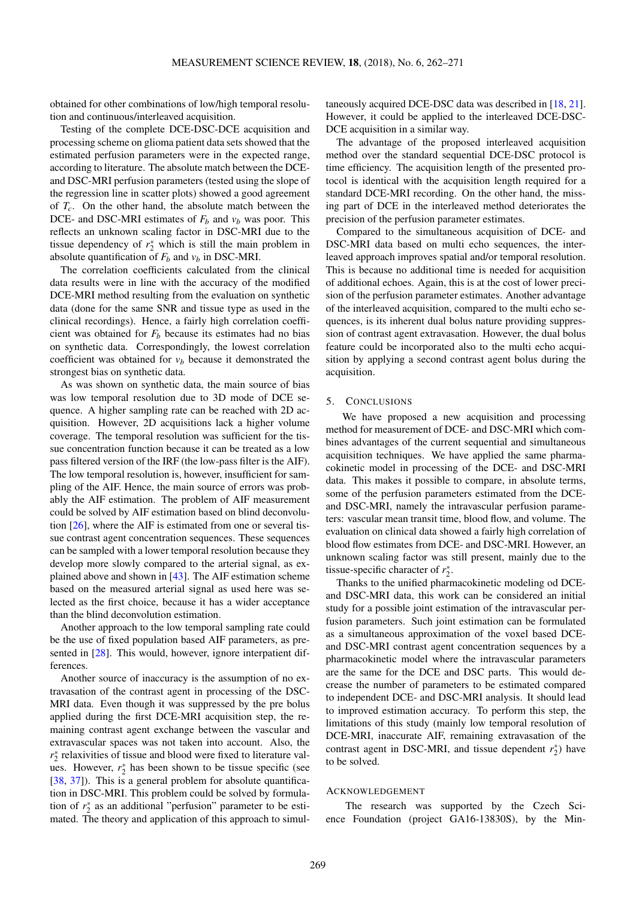obtained for other combinations of low/high temporal resolution and continuous/interleaved acquisition.

Testing of the complete DCE-DSC-DCE acquisition and processing scheme on glioma patient data sets showed that the estimated perfusion parameters were in the expected range, according to literature. The absolute match between the DCEand DSC-MRI perfusion parameters (tested using the slope of the regression line in scatter plots) showed a good agreement of *Tc*. On the other hand, the absolute match between the DCE- and DSC-MRI estimates of  $F_b$  and  $v_b$  was poor. This reflects an unknown scaling factor in DSC-MRI due to the tissue dependency of  $r_2^*$  which is still the main problem in absolute quantification of  $F_b$  and  $v_b$  in DSC-MRI.

The correlation coefficients calculated from the clinical data results were in line with the accuracy of the modified DCE-MRI method resulting from the evaluation on synthetic data (done for the same SNR and tissue type as used in the clinical recordings). Hence, a fairly high correlation coefficient was obtained for *F<sup>b</sup>* because its estimates had no bias on synthetic data. Correspondingly, the lowest correlation coefficient was obtained for  $v<sub>b</sub>$  because it demonstrated the strongest bias on synthetic data.

As was shown on synthetic data, the main source of bias was low temporal resolution due to 3D mode of DCE sequence. A higher sampling rate can be reached with 2D acquisition. However, 2D acquisitions lack a higher volume coverage. The temporal resolution was sufficient for the tissue concentration function because it can be treated as a low pass filtered version of the IRF (the low-pass filter is the AIF). The low temporal resolution is, however, insufficient for sampling of the AIF. Hence, the main source of errors was probably the AIF estimation. The problem of AIF measurement could be solved by AIF estimation based on blind deconvolution [\[26\]](#page-9-2), where the AIF is estimated from one or several tissue contrast agent concentration sequences. These sequences can be sampled with a lower temporal resolution because they develop more slowly compared to the arterial signal, as explained above and shown in [\[43\]](#page-9-19). The AIF estimation scheme based on the measured arterial signal as used here was selected as the first choice, because it has a wider acceptance than the blind deconvolution estimation.

Another approach to the low temporal sampling rate could be the use of fixed population based AIF parameters, as presented in [\[28\]](#page-9-4). This would, however, ignore interpatient differences.

Another source of inaccuracy is the assumption of no extravasation of the contrast agent in processing of the DSC-MRI data. Even though it was suppressed by the pre bolus applied during the first DCE-MRI acquisition step, the remaining contrast agent exchange between the vascular and extravascular spaces was not taken into account. Also, the *r*<sup>\*</sup><sub>2</sub> relaxivities of tissue and blood were fixed to literature values. However,  $r_2^*$  has been shown to be tissue specific (see [\[38,](#page-9-14) [37\]](#page-9-13)). This is a general problem for absolute quantification in DSC-MRI. This problem could be solved by formulation of  $r_2^*$  as an additional "perfusion" parameter to be estimated. The theory and application of this approach to simultaneously acquired DCE-DSC data was described in [\[18,](#page-8-17) [21\]](#page-8-20). However, it could be applied to the interleaved DCE-DSC-DCE acquisition in a similar way.

The advantage of the proposed interleaved acquisition method over the standard sequential DCE-DSC protocol is time efficiency. The acquisition length of the presented protocol is identical with the acquisition length required for a standard DCE-MRI recording. On the other hand, the missing part of DCE in the interleaved method deteriorates the precision of the perfusion parameter estimates.

Compared to the simultaneous acquisition of DCE- and DSC-MRI data based on multi echo sequences, the interleaved approach improves spatial and/or temporal resolution. This is because no additional time is needed for acquisition of additional echoes. Again, this is at the cost of lower precision of the perfusion parameter estimates. Another advantage of the interleaved acquisition, compared to the multi echo sequences, is its inherent dual bolus nature providing suppression of contrast agent extravasation. However, the dual bolus feature could be incorporated also to the multi echo acquisition by applying a second contrast agent bolus during the acquisition.

#### 5. CONCLUSIONS

We have proposed a new acquisition and processing method for measurement of DCE- and DSC-MRI which combines advantages of the current sequential and simultaneous acquisition techniques. We have applied the same pharmacokinetic model in processing of the DCE- and DSC-MRI data. This makes it possible to compare, in absolute terms, some of the perfusion parameters estimated from the DCEand DSC-MRI, namely the intravascular perfusion parameters: vascular mean transit time, blood flow, and volume. The evaluation on clinical data showed a fairly high correlation of blood flow estimates from DCE- and DSC-MRI. However, an unknown scaling factor was still present, mainly due to the tissue-specific character of  $r_2^*$ .

Thanks to the unified pharmacokinetic modeling od DCEand DSC-MRI data, this work can be considered an initial study for a possible joint estimation of the intravascular perfusion parameters. Such joint estimation can be formulated as a simultaneous approximation of the voxel based DCEand DSC-MRI contrast agent concentration sequences by a pharmacokinetic model where the intravascular parameters are the same for the DCE and DSC parts. This would decrease the number of parameters to be estimated compared to independent DCE- and DSC-MRI analysis. It should lead to improved estimation accuracy. To perform this step, the limitations of this study (mainly low temporal resolution of DCE-MRI, inaccurate AIF, remaining extravasation of the contrast agent in DSC-MRI, and tissue dependent  $r_2^*$ ) have to be solved.

#### ACKNOWLEDGEMENT

The research was supported by the Czech Science Foundation (project GA16-13830S), by the Min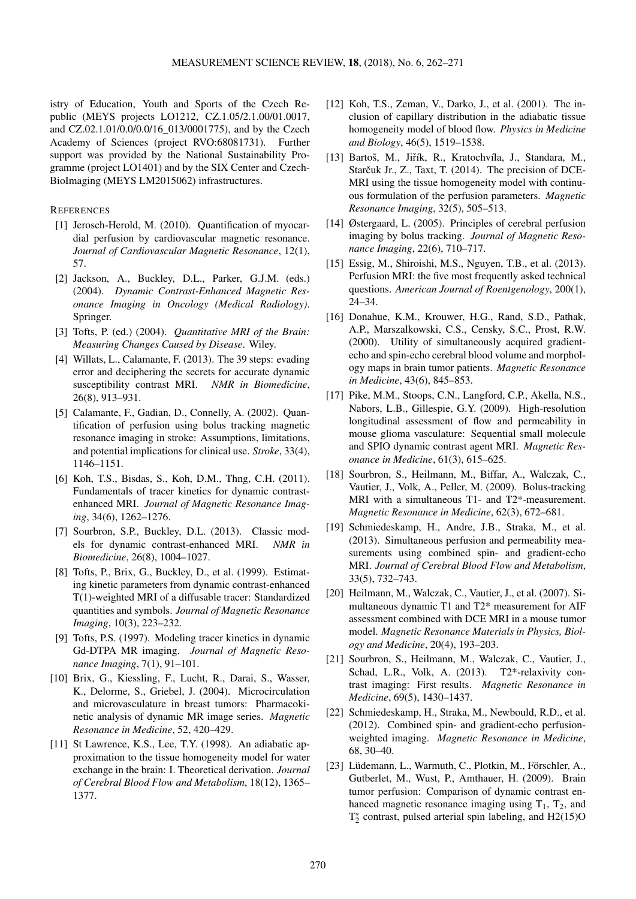istry of Education, Youth and Sports of the Czech Republic (MEYS projects LO1212, CZ.1.05/2.1.00/01.0017, and CZ.02.1.01/0.0/0.0/16\_013/0001775), and by the Czech Academy of Sciences (project RVO:68081731). Further support was provided by the National Sustainability Programme (project LO1401) and by the SIX Center and Czech-BioImaging (MEYS LM2015062) infrastructures.

## **REFERENCES**

- <span id="page-8-0"></span>[1] Jerosch-Herold, M. (2010). Quantification of myocardial perfusion by cardiovascular magnetic resonance. *Journal of Cardiovascular Magnetic Resonance*, 12(1), 57.
- <span id="page-8-1"></span>[2] Jackson, A., Buckley, D.L., Parker, G.J.M. (eds.) (2004). *Dynamic Contrast-Enhanced Magnetic Resonance Imaging in Oncology (Medical Radiology)*. Springer.
- <span id="page-8-2"></span>[3] Tofts, P. (ed.) (2004). *Quantitative MRI of the Brain: Measuring Changes Caused by Disease*. Wiley.
- <span id="page-8-3"></span>[4] Willats, L., Calamante, F. (2013). The 39 steps: evading error and deciphering the secrets for accurate dynamic susceptibility contrast MRI. *NMR in Biomedicine*, 26(8), 913–931.
- <span id="page-8-4"></span>[5] Calamante, F., Gadian, D., Connelly, A. (2002). Quantification of perfusion using bolus tracking magnetic resonance imaging in stroke: Assumptions, limitations, and potential implications for clinical use. *Stroke*, 33(4), 1146–1151.
- <span id="page-8-5"></span>[6] Koh, T.S., Bisdas, S., Koh, D.M., Thng, C.H. (2011). Fundamentals of tracer kinetics for dynamic contrastenhanced MRI. *Journal of Magnetic Resonance Imaging*, 34(6), 1262–1276.
- <span id="page-8-6"></span>[7] Sourbron, S.P., Buckley, D.L. (2013). Classic models for dynamic contrast-enhanced MRI. *NMR in Biomedicine*, 26(8), 1004–1027.
- <span id="page-8-7"></span>[8] Tofts, P., Brix, G., Buckley, D., et al. (1999). Estimating kinetic parameters from dynamic contrast-enhanced T(1)-weighted MRI of a diffusable tracer: Standardized quantities and symbols. *Journal of Magnetic Resonance Imaging*, 10(3), 223–232.
- <span id="page-8-8"></span>[9] Tofts, P.S. (1997). Modeling tracer kinetics in dynamic Gd-DTPA MR imaging. *Journal of Magnetic Resonance Imaging*, 7(1), 91–101.
- <span id="page-8-9"></span>[10] Brix, G., Kiessling, F., Lucht, R., Darai, S., Wasser, K., Delorme, S., Griebel, J. (2004). Microcirculation and microvasculature in breast tumors: Pharmacokinetic analysis of dynamic MR image series. *Magnetic Resonance in Medicine*, 52, 420–429.
- <span id="page-8-10"></span>[11] St Lawrence, K.S., Lee, T.Y. (1998). An adiabatic approximation to the tissue homogeneity model for water exchange in the brain: I. Theoretical derivation. *Journal of Cerebral Blood Flow and Metabolism*, 18(12), 1365– 1377.
- <span id="page-8-11"></span>[12] Koh, T.S., Zeman, V., Darko, J., et al. (2001). The inclusion of capillary distribution in the adiabatic tissue homogeneity model of blood flow. *Physics in Medicine and Biology*, 46(5), 1519–1538.
- <span id="page-8-12"></span>[13] Bartoš, M., Jiřík, R., Kratochvíla, J., Standara, M., Starčuk Jr., Z., Taxt, T. (2014). The precision of DCE-MRI using the tissue homogeneity model with continuous formulation of the perfusion parameters. *Magnetic Resonance Imaging*, 32(5), 505–513.
- <span id="page-8-13"></span>[14] Østergaard, L. (2005). Principles of cerebral perfusion imaging by bolus tracking. *Journal of Magnetic Resonance Imaging*, 22(6), 710–717.
- <span id="page-8-14"></span>[15] Essig, M., Shiroishi, M.S., Nguyen, T.B., et al. (2013). Perfusion MRI: the five most frequently asked technical questions. *American Journal of Roentgenology*, 200(1), 24–34.
- <span id="page-8-15"></span>[16] Donahue, K.M., Krouwer, H.G., Rand, S.D., Pathak, A.P., Marszalkowski, C.S., Censky, S.C., Prost, R.W. (2000). Utility of simultaneously acquired gradientecho and spin-echo cerebral blood volume and morphology maps in brain tumor patients. *Magnetic Resonance in Medicine*, 43(6), 845–853.
- <span id="page-8-16"></span>[17] Pike, M.M., Stoops, C.N., Langford, C.P., Akella, N.S., Nabors, L.B., Gillespie, G.Y. (2009). High-resolution longitudinal assessment of flow and permeability in mouse glioma vasculature: Sequential small molecule and SPIO dynamic contrast agent MRI. *Magnetic Resonance in Medicine*, 61(3), 615–625.
- <span id="page-8-17"></span>[18] Sourbron, S., Heilmann, M., Biffar, A., Walczak, C., Vautier, J., Volk, A., Peller, M. (2009). Bolus-tracking MRI with a simultaneous T1- and T2\*-measurement. *Magnetic Resonance in Medicine*, 62(3), 672–681.
- <span id="page-8-18"></span>[19] Schmiedeskamp, H., Andre, J.B., Straka, M., et al. (2013). Simultaneous perfusion and permeability measurements using combined spin- and gradient-echo MRI. *Journal of Cerebral Blood Flow and Metabolism*, 33(5), 732–743.
- <span id="page-8-19"></span>[20] Heilmann, M., Walczak, C., Vautier, J., et al. (2007). Simultaneous dynamic T1 and T2\* measurement for AIF assessment combined with DCE MRI in a mouse tumor model. *Magnetic Resonance Materials in Physics, Biology and Medicine*, 20(4), 193–203.
- <span id="page-8-20"></span>[21] Sourbron, S., Heilmann, M., Walczak, C., Vautier, J., Schad, L.R., Volk, A. (2013). T2\*-relaxivity contrast imaging: First results. *Magnetic Resonance in Medicine*, 69(5), 1430–1437.
- <span id="page-8-21"></span>[22] Schmiedeskamp, H., Straka, M., Newbould, R.D., et al. (2012). Combined spin- and gradient-echo perfusionweighted imaging. *Magnetic Resonance in Medicine*, 68, 30–40.
- <span id="page-8-22"></span>[23] Lüdemann, L., Warmuth, C., Plotkin, M., Förschler, A., Gutberlet, M., Wust, P., Amthauer, H. (2009). Brain tumor perfusion: Comparison of dynamic contrast enhanced magnetic resonance imaging using  $T_1$ ,  $T_2$ , and  $T_2^*$  contrast, pulsed arterial spin labeling, and H2(15)O